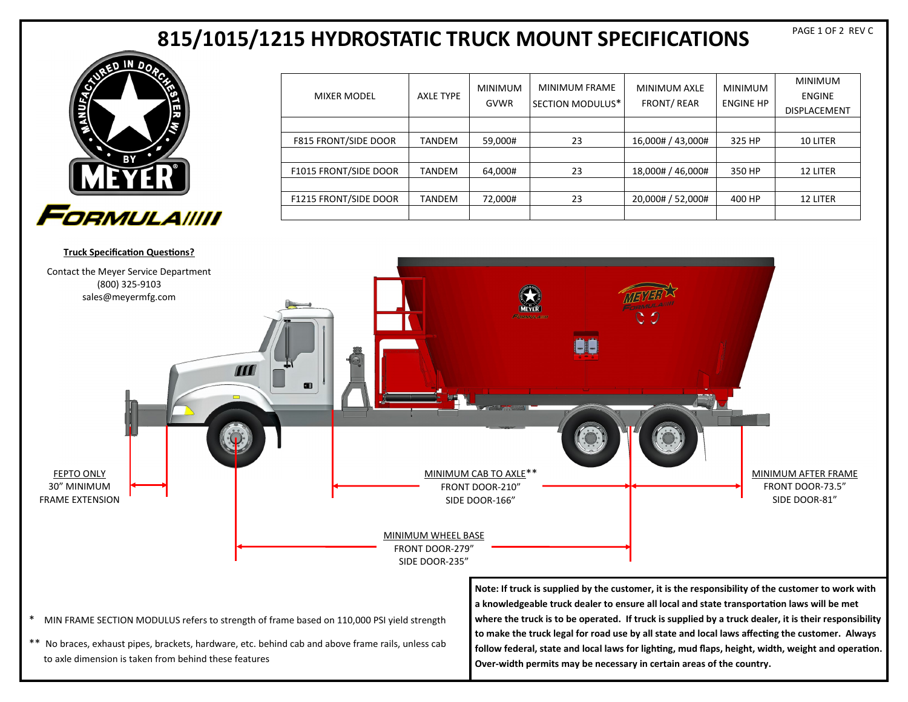# **815/1015/1215 HYDROSTATIC TRUCK MOUNT SPECIFICATIONS**



| <b>MIXER MODEL</b>           | AXLE TYPE | <b>MINIMUM</b><br><b>GVWR</b> | <b>MINIMUM FRAME</b><br>SECTION MODULUS* | <b>MINIMUM AXLE</b><br><b>FRONT/REAR</b> | <b>MINIMUM</b><br><b>ENGINE HP</b> | <b>MINIMUM</b><br><b>ENGINE</b><br><b>DISPLACEMENT</b> |
|------------------------------|-----------|-------------------------------|------------------------------------------|------------------------------------------|------------------------------------|--------------------------------------------------------|
|                              |           |                               |                                          |                                          |                                    |                                                        |
| <b>F815 FRONT/SIDE DOOR</b>  | TANDEM    | 59,000#                       | 23                                       | 16,000# / 43,000#                        | 325 HP                             | 10 LITER                                               |
|                              |           |                               |                                          |                                          |                                    |                                                        |
| F1015 FRONT/SIDE DOOR        | TANDEM    | 64,000#                       | 23                                       | 18,000# / 46,000#                        | 350 HP                             | 12 LITER                                               |
|                              |           |                               |                                          |                                          |                                    |                                                        |
| <b>F1215 FRONT/SIDE DOOR</b> | TANDEM    | 72,000#                       | 23                                       | 20,000# / 52,000#                        | 400 HP                             | 12 LITER                                               |
|                              |           |                               |                                          |                                          |                                    |                                                        |